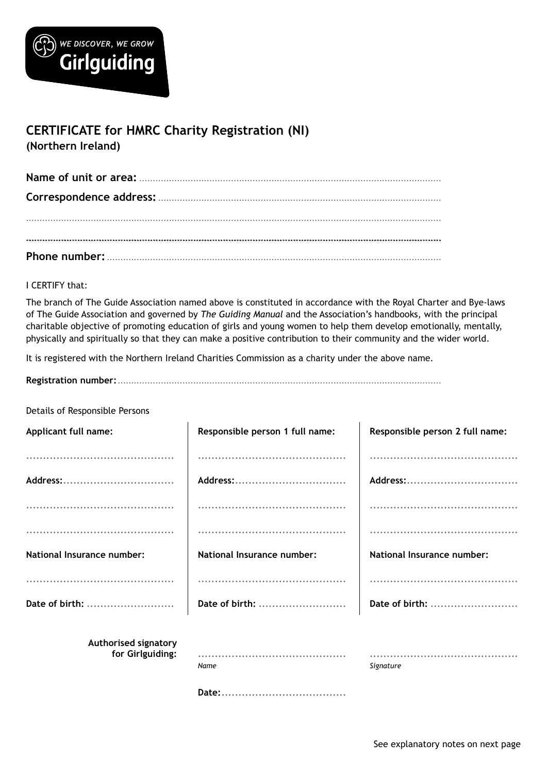

## **CERTIFICATE for HMRC Charity Registration (NI)**

**(Northern Ireland)**

I CERTIFY that:

The branch of The Guide Association named above is constituted in accordance with the Royal Charter and Bye-laws of The Guide Association and governed by *The Guiding Manual* and the Association's handbooks, with the principal charitable objective of promoting education of girls and young women to help them develop emotionally, mentally, physically and spiritually so that they can make a positive contribution to their community and the wider world.

It is registered with the Northern Ireland Charities Commission as a charity under the above name.

**Registration number:........................................................................................................................**

Details of Responsible Persons

| Applicant full name:                     | Responsible person 1 full name: | Responsible person 2 full name: |
|------------------------------------------|---------------------------------|---------------------------------|
|                                          |                                 |                                 |
| Address:                                 | Address:                        | Address:                        |
|                                          |                                 |                                 |
|                                          |                                 |                                 |
| <b>National Insurance number:</b>        | National Insurance number:      | National Insurance number:      |
|                                          |                                 |                                 |
| Date of birth:                           | Date of birth:                  | Date of birth:                  |
| Authorised signatory<br>for Girlguiding: |                                 |                                 |
|                                          | Name                            | Signature                       |
|                                          |                                 |                                 |